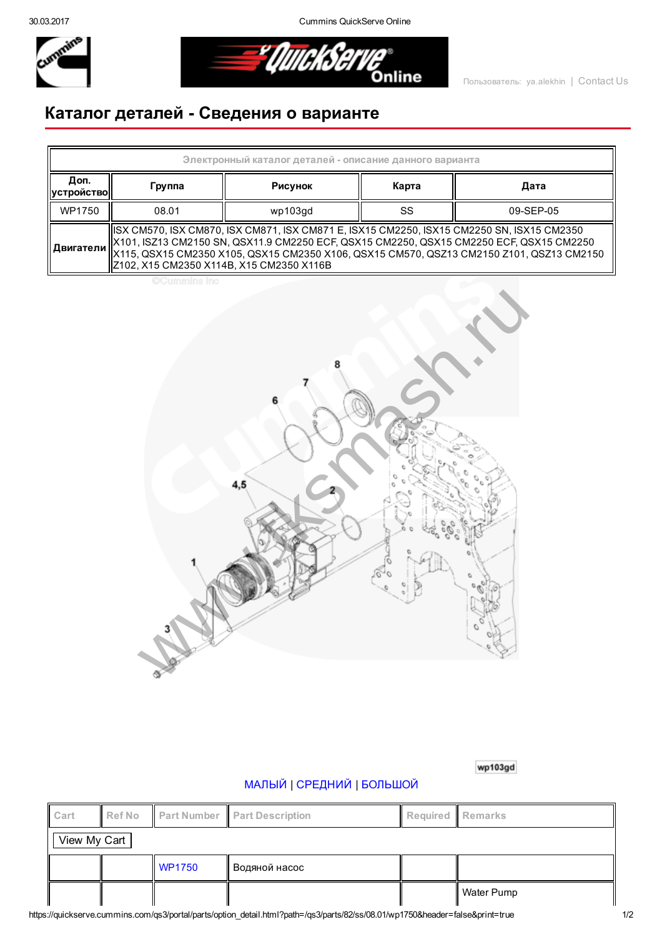30.03.2017 Cummins QuickServe Online



*El QUICKSETVE* 

## Каталог деталей Сведения о варианте

| Электронный каталог деталей - описание данного варианта |                                                                                                                                                                                                                                                                                                                                                        |         |       |           |  |  |  |  |
|---------------------------------------------------------|--------------------------------------------------------------------------------------------------------------------------------------------------------------------------------------------------------------------------------------------------------------------------------------------------------------------------------------------------------|---------|-------|-----------|--|--|--|--|
| Доп.<br><b>  УСТРОЙСТВО   </b>                          | Группа                                                                                                                                                                                                                                                                                                                                                 | Рисунок | Карта | Дата      |  |  |  |  |
| WP1750                                                  | 08.01                                                                                                                                                                                                                                                                                                                                                  | wp103qd | SS    | 09-SEP-05 |  |  |  |  |
|                                                         | ISX CM570, ISX CM870, ISX CM871, ISX CM871 E, ISX15 CM2250, ISX15 CM2250 SN, ISX15 CM2350<br>  X101, ISZ13 CM2150 SN, QSX11.9 CM2250 ECF, QSX15 CM2250, QSX15 CM2250 ECF, QSX15 CM2250<br>   <b>Двигатели</b>   X115, QSX15 CM2350 X105, QSX15 CM2350 X106, QSX15 CM570, QSZ13 CM2150 Z101, QSZ13 CM2150<br>  Z102, X15 CM2350 X114B, X15 CM2350 X116B |         |       |           |  |  |  |  |

**CCummins Inc** 



wp103gd

## [МАЛЫЙ](javascript:swap_img() | [СРЕДНИЙ](javascript:swap_img() | [БОЛЬШОЙ](javascript:swap_img()

| Cart         | Ref No |               | <b>Part Number Part Description</b> | Required Remarks |              |  |  |  |
|--------------|--------|---------------|-------------------------------------|------------------|--------------|--|--|--|
| View My Cart |        |               |                                     |                  |              |  |  |  |
|              |        | <b>WP1750</b> | Водяной насос                       |                  |              |  |  |  |
|              |        |               |                                     |                  | ∥ Water Pump |  |  |  |